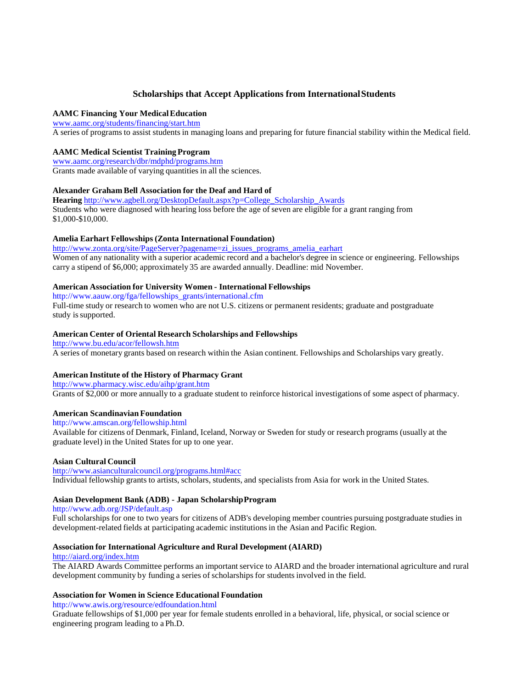# **Scholarships that Accept Applications from International Students**

# **AAMC Financing Your Medical Education**

[www.aamc.org/students/financing/start.htm](http://www.ncsu.edu/fao/live/priv/www.aamc.org/students/financing/start.htm) A series of programs to assist students in managing loans and preparing for future financial stability within the Medical field.

# **AAMC Medical Scientist Training Program**

[www.aamc.org/research/dbr/mdphd/programs.htm](http://www.ncsu.edu/fao/live/priv/www.aamc.org/research/dbr/mdphd/programs.htm) Grants made available of varying quantities in all the sciences.

# **Alexander Graham Bell Association for the Deaf and Hard of**

**Hearing** [http://www.agbell.org/DesktopDefault.aspx?p=College\\_Scholarship\\_Awards](http://www.agbell.org/DesktopDefault.aspx?p=College_Scholarship_Awards) Students who were diagnosed with hearing loss before the age of seven are eligible for a grant ranging from \$1,000-\$10,000.

# **Amelia Earhart Fellowships (Zonta International Foundation)**

[http://www.zonta.org/site/PageServer?pagename=zi\\_issues\\_programs\\_amelia\\_earhart](http://www.zonta.org/site/PageServer?pagename=zi_issues_programs_amelia_earhart) Women of any nationality with a superior academic record and a bachelor's degree in science or engineering. Fellowships carry a stipend of \$6,000; approximately 35 are awarded annually. Deadline: mid November.

# **American Association for University Women - International Fellowships**

[http://www.aauw.org/fga/fellowships\\_grants/international.cfm](http://www.aauw.org/fga/fellowships_grants/international.cfm) Full-time study or research to women who are not U.S. citizens or permanent residents; graduate and postgraduate study is supported.

# **American Center of Oriental Research Scholarships and Fellowships**

<http://www.bu.edu/acor/fellowsh.htm>

A series of monetary grants based on research within the Asian continent. Fellowships and Scholarships vary greatly.

# **American Institute of the History of Pharmacy Grant**

<http://www.pharmacy.wisc.edu/aihp/grant.htm>

Grants of \$2,000 or more annually to a graduate student to reinforce historical investigations of some aspect of pharmacy.

# **American Scandinavian Foundation**

# <http://www.amscan.org/fellowship.html>

Available for citizens of Denmark, Finland, Iceland, Norway or Sweden for study or research programs (usually at the graduate level) in the United States for up to one year.

# **Asian Cultural Council**

# <http://www.asianculturalcouncil.org/programs.html#acc>

Individual fellowship grants to artists, scholars, students, and specialists from Asia for work in the United States.

# **Asian Development Bank (ADB) - Japan Scholarship Program**

<http://www.adb.org/JSP/default.asp>

Full scholarships for one to two years for citizens of ADB's developing member countries pursuing postgraduate studies in development-related fields at participating academic institutions in the Asian and Pacific Region.

# **Association for International Agriculture and Rural Development (AIARD)**

# <http://aiard.org/index.htm>

The AIARD Awards Committee performs an important service to AIARD and the broader international agriculture and rural development community by funding a series of scholarships for students involved in the field.

# **Association for Women in Science Educational Foundation**

<http://www.awis.org/resource/edfoundation.html>

Graduate fellowships of \$1,000 per year for female students enrolled in a behavioral, life, physical, or social science or engineering program leading to a Ph.D.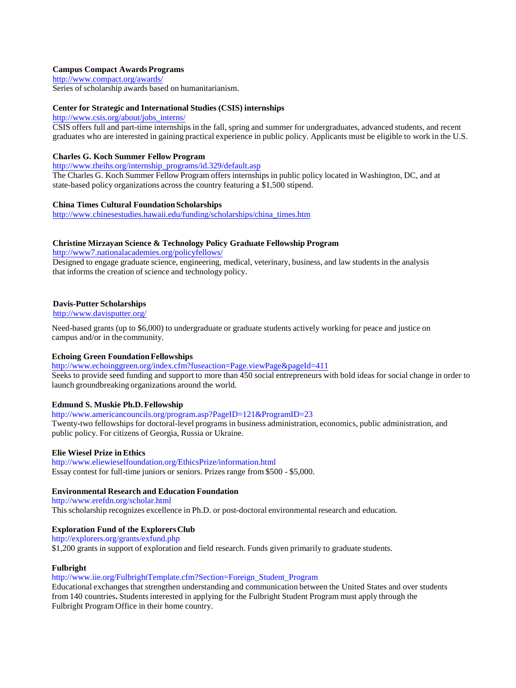# **[Campus Compact Awards Programs](http://www.bfwg.org.uk/scholarships.cfm)**

http://www.compact.org/awards/

Series of scholarship awards based on humanitarianism.

#### **[Center for Strategic and Inte](http://www.ncsu.edu/fellows/)rnational Studies (CSIS) internships**

http://www.csis.org/about/jobs\_interns/

CSIS offers full and part-time internships in the fall, spring and summer for undergraduates, advanced students, and recent graduates who are interested in gaining practical experience in public policy. Applicants must be eligible to work in the U.S.

# **[Charles G. Koch Summer Fello](http://www.compact.org/awards/)w Program**

http://www.theihs.org/internship\_programs/id.329/default.asp

The Charles G. Koch Summer Fellow Program offers internships in public policy located in Washington, DC, and at [state-based policy organizations across th](http://www.csis.org/about/jobs_interns/)e country featuring a \$1,500 stipend.

## **China Times Cultural Foundation Scholarships**

http://www.chinesestudies.hawaii.edu/funding/scholarships/china\_times.htm

# **[Christine Mirzayan Science & Technology Policy Graduate](http://www.theihs.org/internship_programs/id.329/default.asp) Fellowship Program**

http://www7.nationalacademies.org/policyfellows/

Designed to engage graduate science, engineering, medical, veterinary, business, and law students in the analysis that informs the creation of science and technology policy.

# **Davis-Putter Scholarships**

http://www.davisputter.org/

[Need-based grants \(up to](http://www7.nationalacademies.org/policyfellows/) \$6,000) to undergraduate or graduate students actively working for peace and justice on campus and/or in the community.

#### **Echoing Green Foundation Fellowships**

[http://www.echoinggreen.org](http://www.davisputter.org/)/index.cfm?fuseaction=Page.viewPage&pageId=411 Seeks to provide seed funding and support to more than 450 social entrepreneurs with bold ideas for social change in order to launch groundbreaking organizations around the world.

#### **Edmund S. Muskie Ph.D. Fellowship**

#### [http://www.americancouncils.org/program.asp?PageID=121&ProgramID=23](http://www.echoinggreen.org/index.cfm?fuseaction=Page.viewPage&pageId=411)

Twenty-two fellowships for doctoral-level programs in business administration, economics, public administration, and public policy. For citizens of Georgia, Russia or Ukraine.

## **Elie Wiesel Prize in Ethics**

[http://www.eliewieselfoundation.org/EthicsPriz](http://www.americancouncils.org/program.asp)e/information.html Essay contest for full-time juniors or seniors. Prizes range from \$500 - \$5,000.

# **Environmental Research and Education Foundation**

http://www.erefdn.org/scholar.html [This scholarship recognizes excellence in](http://www.eliewieselfoundation.org/EthicsPrize/information.html) Ph.D. or post-doctoral environmental research and education.

#### **Exploration Fund of the Explorers Club**

http://explorers.org/grants/exfund.php

[\\$1,200 grants in](http://www.erefdn.org/scholar.html) support of exploration and field research. Funds given primarily to graduate students.

#### **Fulbright**

#### http://www.iie.org/FulbrightTemplate.cfm?Section=Foreign\_Student\_Program

[Educational exchanges that strengthen u](http://explorers.org/grants/exfund.php)nderstanding and communication between the United States and over students from 140 countries**.** Students interested in applying for the Fulbright Student Program must apply through the Fulbright Program Office in their home country.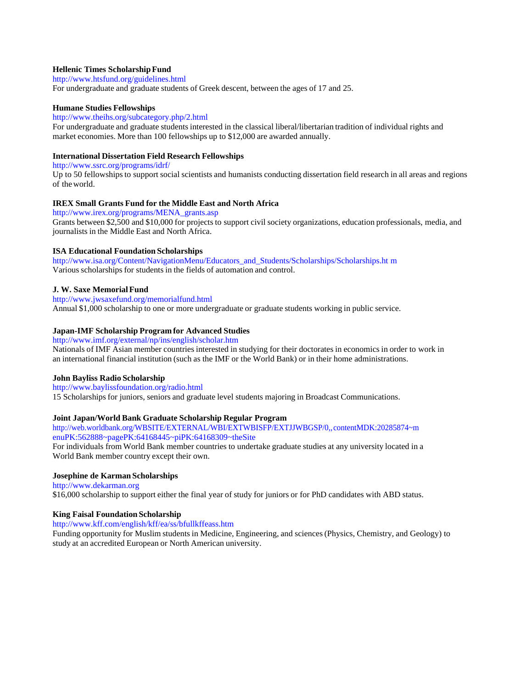# **Hellenic Times Scholarship Fund**

# <http://www.htsfund.org/guidelines.html>

For undergraduate and graduate students of Greek descent, between the ages of 17 and 25.

#### **Humane Studies Fellowships**

# [http://www.theihs.org/subcategory.php/2.html](http://www.clw.org/pub/clw/scoville/index.html)

For undergraduate and graduate students interested in the classical liberal/libertarian tradition of individual rights and market economies. More than 100 fellowships up to \$12,000 are awarded annually.

# **International Dissertation Field Research Fellowships**

[http://www.ssrc.org/programs/idrf/](http://www.theihs.org/subcategory.php/)

Up to 50 fellowships to support social scientists and humanists conducting dissertation field research in all areas and regions of the world.

# **IREX Small Grants Fund for the Middle East and North Africa**

[http://www.irex.org/programs/MENA\\_grants.asp](http://www.sipiapa.org/otheractivities/scholarships.cfm) Grants between \$2,500 and \$10,000 for projects to support civil society organizations, education professionals, media, and journalists in the Middle East and North Africa.

## **[ISA Educational Foundation Scho](http://www.ssrc.org/programs/idrf/)larships**

http://www.isa.org/Content/NavigationMenu/Educators\_and\_Students/Scholarships/Scholarships.ht m Various scholarships for students in the fields of automation and control.

## **J. W. Saxe Memorial Fund**

[http://www.jwsaxefund.org/memorialfund.html](http://www.irex.org/programs/MENA_grants.asp) Annual \$1,000 scholarship to one or more undergraduate or graduate students working in public service.

# **Japan-IMF Scholarship Program for Advanced Studies**

http://www.imf.org/external/np/ins/english/scholar.htm Nationals of [IMF Asian member countries interested in](http://www.isa.org/Content/NavigationMenu/Educators_and_Students/Scholarships/Scholarships.htm) studying for their doctorates in economics in [ord](http://www.isa.org/Content/NavigationMenu/Educators_and_Students/Scholarships/Scholarships.htm)er to work in an international financial institution (such as the IMF or the World Bank) or in their home administrations.

#### **John Bayliss Radio Scholarship**

#### [http://www.baylissfoundation.org/radio.html](http://www.jwsaxefund.org/memorialfund.html)

15 Scholarships for juniors, seniors and graduate level students majoring in Broadcast Communications.

# **Joint Japan/World Bank Graduate Scholarship Regular Program**

[http://web.worldbank.org/WBSITE/EXTERNAL/WBI/EXT](http://www.imf.org/external/np/ins/english/scholar.htm)WBISFP/EXTJJWBGSP/0,,contentMDK:20285874~m enuPK:562888~pagePK:64168445~piPK:64168309~theSite

For individuals from World Bank member countries to undertake graduate studies at any university located in a World Bank member country except their own.

# **[Josephine de Karman Scholarships](http://www.baylissfoundation.org/radio.html)**

http://www.dekarman.org \$16,000 scholarship to support either the final year of study for juniors or for PhD candidates with ABD status.

# **[King Faisal Foundation Scholarship](http://web.worldbank.org/WBSITE/EXTERNAL/WBI/EXTWBISFP/EXTJJWBGSP/0)**

http://www.kff.com/english/kff/ea/ss/bfullkffeass.htm

Funding opportunity for Muslim students in Medicine, Engineering, and sciences (Physics, Chemistry, and Geology) to study at an accredited European or North American university.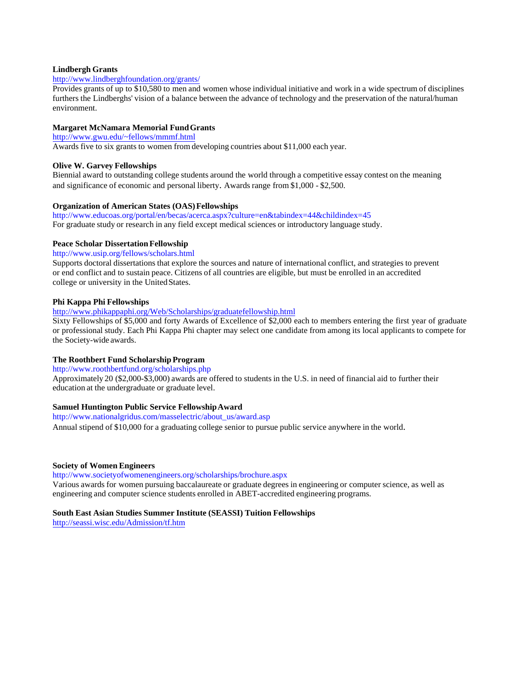# **Lindbergh Grants**

# <http://www.lindberghfoundation.org/grants/>

Provides grants of up to \$10,580 to men and women whose individual initiative and work in a wide spectrum of disciplines furthers the Lindberghs' vision of a balance between the advance of technology and the preservation of the natural/human environment.

#### **Margaret McNamara Memorial Fund Grants**

[http://www.gwu.edu/~fellows/mmmf.html](http://www.wellesley.edu/CWS/students/wellfs.html)

Awards five to six grants to women from developing countries about \$11,000 each year.

#### **Olive W. Garvey Fellowships**

Biennial award to [outstanding college stude](http://www.gwu.edu/~fellows/mmmf.html)nts around the world through a competitive essay contest on the meaning and significance of economic and personal liberty. Awards range from \$1,000 - \$2,500.

## **Organization of American States (OAS) Fellowships**

[http://www.educoas.org/portal/en/becas/acerc](http://www.nabj.org/programs/scholarships/)a.aspx?culture=en&tabindex=44&childindex=45 For graduate study or research in any field except medical sciences or introductory language study.

# **Peace Scholar Dissertation Fellowship**

http://www.usip.org/fellows/scholars.html

[Supports doctoral dissertations that explore the sources and nature](http://gpp.nih.gov/Applicants/ProspectiveStudents/Immunology/) of international conflict, and strategies to prevent or end conflict and to sustain peace. Citizens of all countries are eligible, but must be enrolled in an accredited college or university in the United States.

#### **Phi Kappa Phi Fellowships**

http://www.phikappaphi.org/Web/Scholarships/graduatefellowship.html

Sixty Fellowships of \$5,000 and forty Awards of Excellence of \$2,000 each to members entering the first year of graduate or professional study. Each Phi Kappa Phi chapter may select one candidate from among its local applicants to compete for [the Society-wide awards.](http://www.educoas.org/portal/en/becas/acerca.aspx) 

#### **The Roothbert Fund Scholarship Program**

http://www.roothbertfund.org/scholarships.php Approximately 20 (\$2,000-\$3,000) awards are offered to students in the U.S. in need of financial aid to further their education at [the undergraduate or](http://www.usip.org/fellows/scholars.html) graduate level.

#### **Samuel Huntington Public Service Fellowship Award**

http://www.nationalgridus.com/masselectric/about\_us/award.asp

Annual stipend of \$10,000 for a graduating college senior to pursue public service anywhere in the world.

#### **Society of Women Engineers**

http://www.societyofwomenengineers.org/scholarships/brochure.aspx

Various awards for women pursuing baccalaureate or graduate degrees in engineering or computer science, as well as [engineering and computer science students enrol](http://www.roothbertfund.org/scholarships.php)led in ABET-accredited engineering programs.

#### **South East Asian Studies Summer Institute (SEASSI) Tuition Fellowships**

http://seassi.wisc.edu/Admission/tf.htm